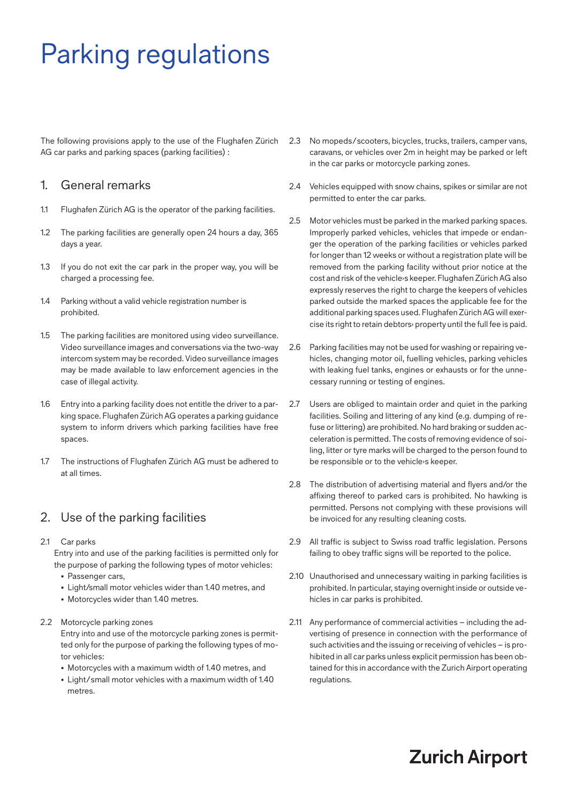# Parking regulations

The following provisions apply to the use of the Flughafen Zürich AG car parks and parking spaces (parking facilities) :

#### 1. General remarks

- 1.1 Flughafen Zürich AG is the operator of the parking facilities.
- 1.2 The parking facilities are generally open 24 hours a day, 365 days a year.
- 1.3 If you do not exit the car park in the proper way, you will be charged a processing fee.
- 1.4 Parking without a valid vehicle registration number is prohibited.
- 1.5 The parking facilities are monitored using video surveillance. Video surveillance images and conversations via the two-way intercom system may be recorded. Video surveillance images may be made available to law enforcement agencies in the case of illegal activity.
- 1.6 Entry into a parking facility does not entitle the driver to a parking space. Flughafen Zürich AG operates a parking guidance system to inform drivers which parking facilities have free spaces.
- 1.7 The instructions of Flughafen Zürich AG must be adhered to at all times.

# 2. Use of the parking facilities

- 2.1 Car parks Entry into and use of the parking facilities is permitted only for the purpose of parking the following types of motor vehicles:
	- Passenger cars,
	- Light/small motor vehicles wider than 1.40 metres, and
	- Motorcycles wider than 1.40 metres.

#### 2.2 Motorcycle parking zones

 Entry into and use of the motorcycle parking zones is permitted only for the purpose of parking the following types of motor vehicles:

- Motorcycles with a maximum width of 1.40 metres, and
- Light / small motor vehicles with a maximum width of 1.40 metres.
- 2.3 No mopeds / scooters, bicycles, trucks, trailers, camper vans, caravans, or vehicles over 2m in height may be parked or left in the car parks or motorcycle parking zones.
- 2.4 Vehicles equipped with snow chains, spikes or similar are not permitted to enter the car parks.
- 2.5 Motor vehicles must be parked in the marked parking spaces. Improperly parked vehicles, vehicles that impede or endanger the operation of the parking facilities or vehicles parked for longer than 12 weeks or without a registration plate will be removed from the parking facility without prior notice at the cost and risk of the vehicle›s keeper. Flughafen Zürich AG also expressly reserves the right to charge the keepers of vehicles parked outside the marked spaces the applicable fee for the additional parking spaces used. Flughafen Zürich AG will exercise its right to retain debtors› property until the full fee is paid.
- 2.6 Parking facilities may not be used for washing or repairing vehicles, changing motor oil, fuelling vehicles, parking vehicles with leaking fuel tanks, engines or exhausts or for the unnecessary running or testing of engines.
- 2.7 Users are obliged to maintain order and quiet in the parking facilities. Soiling and littering of any kind (e.g. dumping of refuse or littering) are prohibited. No hard braking or sudden acceleration is permitted. The costs of removing evidence of soiling, litter or tyre marks will be charged to the person found to be responsible or to the vehicle›s keeper.
- 2.8 The distribution of advertising material and flyers and/or the affixing thereof to parked cars is prohibited. No hawking is permitted. Persons not complying with these provisions will be invoiced for any resulting cleaning costs.
- 2.9 All traffic is subject to Swiss road traffic legislation. Persons failing to obey traffic signs will be reported to the police.
- 2.10 Unauthorised and unnecessary waiting in parking facilities is prohibited. In particular, staying overnight inside or outside vehicles in car parks is prohibited.
- 2.11 Any performance of commercial activities including the advertising of presence in connection with the performance of such activities and the issuing or receiving of vehicles – is prohibited in all car parks unless explicit permission has been obtained for this in accordance with the Zurich Airport operating regulations.

# **Zurich Airport**